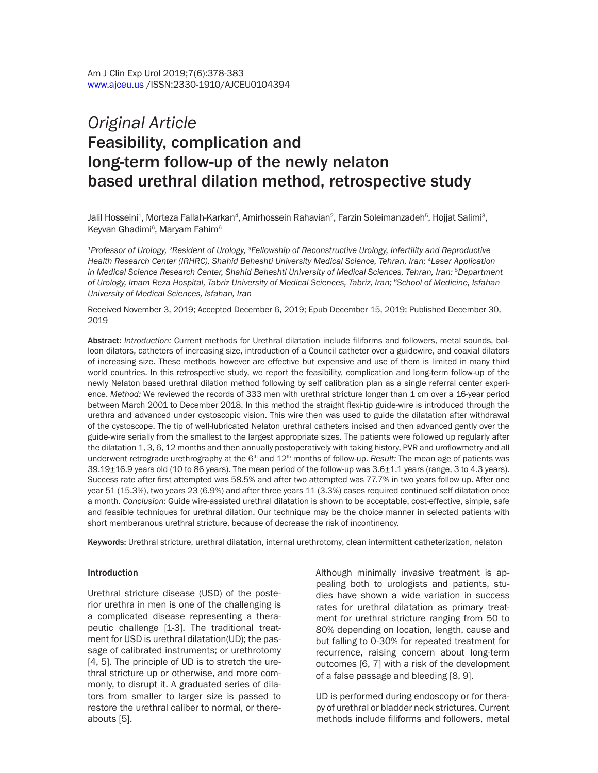# *Original Article* Feasibility, complication and long-term follow-up of the newly nelaton based urethral dilation method, retrospective study

Jalil Hosseini<sup>1</sup>, Morteza Fallah-Karkan<sup>4</sup>, Amirhossein Rahavian<sup>2</sup>, Farzin Soleimanzadeh<sup>5</sup>, Hojjat Salimi<sup>3</sup>, Keyvan Ghadimi<sup>6</sup>, Maryam Fahim<sup>6</sup>

*1Professor of Urology, 2Resident of Urology, 3Fellowship of Reconstructive Urology, Infertility and Reproductive Health Research Center (IRHRC), Shahid Beheshti University Medical Science, Tehran, Iran; 4Laser Application in Medical Science Research Center, Shahid Beheshti University of Medical Sciences, Tehran, Iran; 5Department of Urology, Imam Reza Hospital, Tabriz University of Medical Sciences, Tabriz, Iran; 6School of Medicine, Isfahan University of Medical Sciences, Isfahan, Iran*

Received November 3, 2019; Accepted December 6, 2019; Epub December 15, 2019; Published December 30, 2019

Abstract: *Introduction:* Current methods for Urethral dilatation include filiforms and followers, metal sounds, balloon dilators, catheters of increasing size, introduction of a Council catheter over a guidewire, and coaxial dilators of increasing size. These methods however are effective but expensive and use of them is limited in many third world countries. In this retrospective study, we report the feasibility, complication and long-term follow-up of the newly Nelaton based urethral dilation method following by self calibration plan as a single referral center experience. *Method:* We reviewed the records of 333 men with urethral stricture longer than 1 cm over a 16-year period between March 2001 to December 2018. In this method the straight flexi-tip guide-wire is introduced through the urethra and advanced under cystoscopic vision. This wire then was used to guide the dilatation after withdrawal of the cystoscope. The tip of well-lubricated Nelaton urethral catheters incised and then advanced gently over the guide-wire serially from the smallest to the largest appropriate sizes. The patients were followed up regularly after the dilatation 1, 3, 6, 12 months and then annually postoperatively with taking history, PVR and uroflowmetry and all underwent retrograde urethrography at the 6<sup>th</sup> and 12<sup>th</sup> months of follow-up. *Result:* The mean age of patients was 39.19±16.9 years old (10 to 86 years). The mean period of the follow-up was 3.6±1.1 years (range, 3 to 4.3 years). Success rate after first attempted was 58.5% and after two attempted was 77.7% in two years follow up. After one year 51 (15.3%), two years 23 (6.9%) and after three years 11 (3.3%) cases required continued self dilatation once a month. *Conclusion:* Guide wire-assisted urethral dilatation is shown to be acceptable, cost-effective, simple, safe and feasible techniques for urethral dilation. Our technique may be the choice manner in selected patients with short memberanous urethral stricture, because of decrease the risk of incontinency.

Keywords: Urethral stricture, urethral dilatation, internal urethrotomy, clean intermittent catheterization, nelaton

#### **Introduction**

Urethral stricture disease (USD) of the posterior urethra in men is one of the challenging is a complicated disease representing a therapeutic challenge [1-3]. The traditional treatment for USD is urethral dilatation(UD); the passage of calibrated instruments; or urethrotomy [4, 5]. The principle of UD is to stretch the urethral stricture up or otherwise, and more commonly, to disrupt it. A graduated series of dilators from smaller to larger size is passed to restore the urethral caliber to normal, or thereabouts [5].

Although minimally invasive treatment is appealing both to urologists and patients, studies have shown a wide variation in success rates for urethral dilatation as primary treatment for urethral stricture ranging from 50 to 80% depending on location, length, cause and but falling to 0-30% for repeated treatment for recurrence, raising concern about long-term outcomes [6, 7] with a risk of the development of a false passage and bleeding [8, 9].

UD is performed during endoscopy or for therapy of urethral or bladder neck strictures. Current methods include filiforms and followers, metal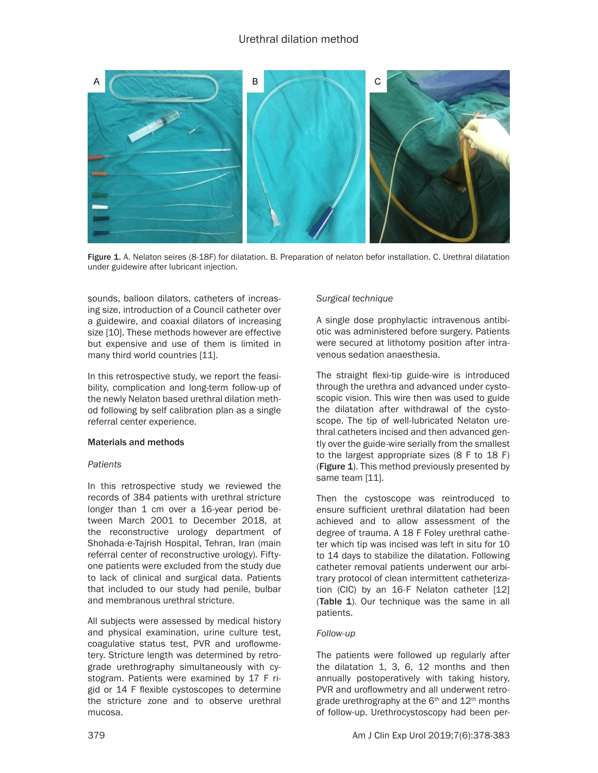

Figure 1. A. Nelaton seires (8-18F) for dilatation. B. Preparation of nelaton befor installation. C. Urethral dilatation under guidewire after lubricant injection.

sounds, balloon dilators, catheters of increasing size, introduction of a Council catheter over a guidewire, and coaxial dilators of increasing size [10]. These methods however are effective but expensive and use of them is limited in many third world countries [11].

In this retrospective study, we report the feasibility, complication and long-term follow-up of the newly Nelaton based urethral dilation method following by self calibration plan as a single referral center experience.

## Materials and methods

## *Patients*

In this retrospective study we reviewed the records of 384 patients with urethral stricture longer than 1 cm over a 16-year period between March 2001 to December 2018, at the reconstructive urology department of Shohada-e-Tajrish Hospital, Tehran, Iran (main referral center of reconstructive urology). Fiftyone patients were excluded from the study due to lack of clinical and surgical data. Patients that included to our study had penile, bulbar and membranous urethral stricture.

All subjects were assessed by medical history and physical examination, urine culture test, coagulative status test, PVR and uroflowmetery. Stricture length was determined by retrograde urethrography simultaneously with cystogram. Patients were examined by 17 F rigid or 14 F flexible cystoscopes to determine the stricture zone and to observe urethral mucosa.

## *Surgical technique*

A single dose prophylactic intravenous antibiotic was administered before surgery. Patients were secured at lithotomy position after intravenous sedation anaesthesia.

The straight flexi-tip guide-wire is introduced through the urethra and advanced under cystoscopic vision. This wire then was used to guide the dilatation after withdrawal of the cystoscope. The tip of well-lubricated Nelaton urethral catheters incised and then advanced gently over the guide-wire serially from the smallest to the largest appropriate sizes (8 F to 18 F) (Figure 1). This method previously presented by same team [11].

Then the cystoscope was reintroduced to ensure sufficient urethral dilatation had been achieved and to allow assessment of the degree of trauma. A 18 F Foley urethral catheter which tip was incised was left in situ for 10 to 14 days to stabilize the dilatation. Following catheter removal patients underwent our arbitrary protocol of clean intermittent catheterization (CIC) by an 16-F Nelaton catheter [12] (Table 1). Our technique was the same in all patients.

## *Follow-up*

The patients were followed up regularly after the dilatation 1, 3, 6, 12 months and then annually postoperatively with taking history, PVR and uroflowmetry and all underwent retrograde urethrography at the  $6<sup>th</sup>$  and  $12<sup>th</sup>$  months of follow-up. Urethrocystoscopy had been per-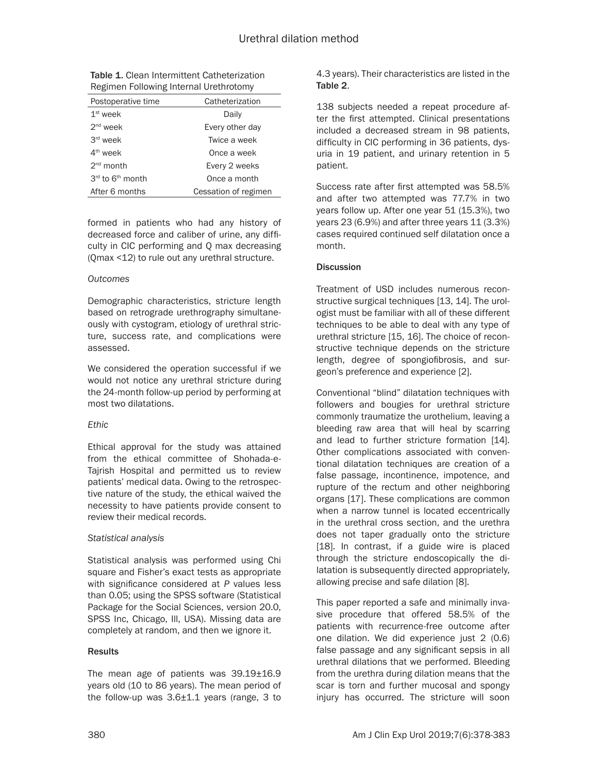| <b>Table 1.</b> Clean Intermittent Catheterization |
|----------------------------------------------------|
| Regimen Following Internal Urethrotomy             |

| Postoperative time           | Catheterization      |
|------------------------------|----------------------|
| $1st$ week                   | Daily                |
| $2nd$ week                   | Every other day      |
| $3rd$ week                   | Twice a week         |
| $4th$ week                   | Once a week          |
| $2nd$ month                  | Every 2 weeks        |
| 3rd to 6 <sup>th</sup> month | Once a month         |
| After 6 months               | Cessation of regimen |
|                              |                      |

formed in patients who had any history of decreased force and caliber of urine, any difficulty in CIC performing and Q max decreasing (Qmax <12) to rule out any urethral structure.

## *Outcomes*

Demographic characteristics, stricture length based on retrograde urethrography simultaneously with cystogram, etiology of urethral stricture, success rate, and complications were assessed.

We considered the operation successful if we would not notice any urethral stricture during the 24-month follow-up period by performing at most two dilatations.

## *Ethic*

Ethical approval for the study was attained from the ethical committee of Shohada-e-Tajrish Hospital and permitted us to review patients' medical data. Owing to the retrospective nature of the study, the ethical waived the necessity to have patients provide consent to review their medical records.

## *Statistical analysis*

Statistical analysis was performed using Chi square and Fisher's exact tests as appropriate with significance considered at *P* values less than 0.05; using the SPSS software (Statistical Package for the Social Sciences, version 20.0, SPSS Inc, Chicago, Ill, USA). Missing data are completely at random, and then we ignore it.

## **Results**

The mean age of patients was 39.19±16.9 years old (10 to 86 years). The mean period of the follow-up was 3.6±1.1 years (range, 3 to

4.3 years). Their characteristics are listed in the Table 2.

138 subjects needed a repeat procedure after the first attempted. Clinical presentations included a decreased stream in 98 patients, difficulty in CIC performing in 36 patients, dysuria in 19 patient, and urinary retention in 5 patient.

Success rate after first attempted was 58.5% and after two attempted was 77.7% in two years follow up. After one year 51 (15.3%), two years 23 (6.9%) and after three years 11 (3.3%) cases required continued self dilatation once a month.

## **Discussion**

Treatment of USD includes numerous reconstructive surgical techniques [13, 14]. The urologist must be familiar with all of these different techniques to be able to deal with any type of urethral stricture [15, 16]. The choice of reconstructive technique depends on the stricture length, degree of spongiofibrosis, and surgeon's preference and experience [2].

Conventional "blind" dilatation techniques with followers and bougies for urethral stricture commonly traumatize the urothelium, leaving a bleeding raw area that will heal by scarring and lead to further stricture formation [14]. Other complications associated with conventional dilatation techniques are creation of a false passage, incontinence, impotence, and rupture of the rectum and other neighboring organs [17]. These complications are common when a narrow tunnel is located eccentrically in the urethral cross section, and the urethra does not taper gradually onto the stricture [18]. In contrast, if a guide wire is placed through the stricture endoscopically the dilatation is subsequently directed appropriately, allowing precise and safe dilation [8].

This paper reported a safe and minimally invasive procedure that offered 58.5% of the patients with recurrence-free outcome after one dilation. We did experience just 2 (0.6) false passage and any significant sepsis in all urethral dilations that we performed. Bleeding from the urethra during dilation means that the scar is torn and further mucosal and spongy injury has occurred. The stricture will soon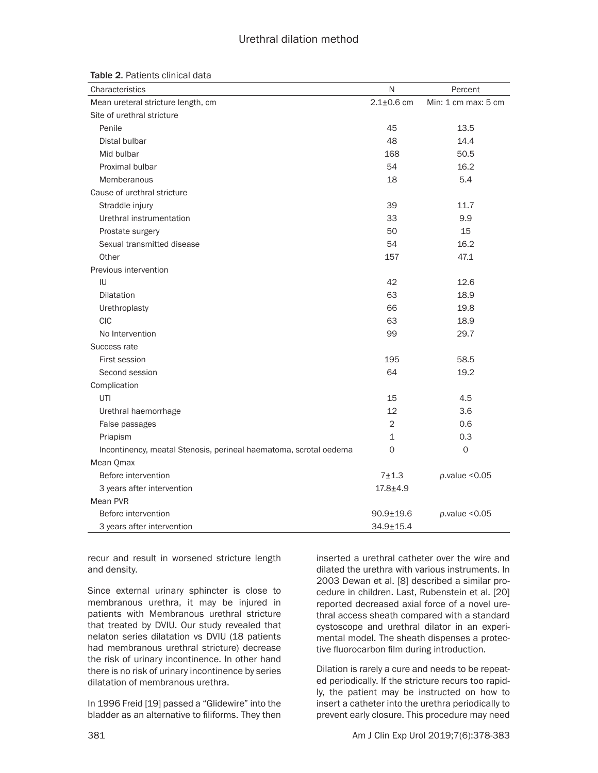## Urethral dilation method

| Characteristics                                                   | Ν                | Percent             |
|-------------------------------------------------------------------|------------------|---------------------|
| Mean ureteral stricture length, cm                                | $2.1 \pm 0.6$ cm | Min: 1 cm max: 5 cm |
| Site of urethral stricture                                        |                  |                     |
| Penile                                                            | 45               | 13.5                |
| Distal bulbar                                                     | 48               | 14.4                |
| Mid bulbar                                                        | 168              | 50.5                |
| Proximal bulbar                                                   | 54               | 16.2                |
| Memberanous                                                       | 18               | 5.4                 |
| Cause of urethral stricture                                       |                  |                     |
| Straddle injury                                                   | 39               | 11.7                |
| Urethral instrumentation                                          | 33               | 9.9                 |
| Prostate surgery                                                  | 50               | 15                  |
| Sexual transmitted disease                                        | 54               | 16.2                |
| Other                                                             | 157              | 47.1                |
| Previous intervention                                             |                  |                     |
| IU                                                                | 42               | 12.6                |
| <b>Dilatation</b>                                                 | 63               | 18.9                |
| Urethroplasty                                                     | 66               | 19.8                |
| <b>CIC</b>                                                        | 63               | 18.9                |
| No Intervention                                                   | 99               | 29.7                |
| Success rate                                                      |                  |                     |
| First session                                                     | 195              | 58.5                |
| Second session                                                    | 64               | 19.2                |
| Complication                                                      |                  |                     |
| UTI                                                               | 15               | 4.5                 |
| Urethral haemorrhage                                              | 12               | 3.6                 |
| False passages                                                    | 2                | 0.6                 |
| Priapism                                                          | $\mathbf 1$      | 0.3                 |
| Incontinency, meatal Stenosis, perineal haematoma, scrotal oedema | 0                | $\mathbf 0$         |
| Mean Qmax                                                         |                  |                     |
| Before intervention                                               | $7 + 1.3$        | p.value < 0.05      |
| 3 years after intervention                                        | $17.8 + 4.9$     |                     |
| Mean PVR                                                          |                  |                     |
| Before intervention                                               | $90.9 \pm 19.6$  | p.value < 0.05      |
| 3 years after intervention                                        | 34.9±15.4        |                     |

recur and result in worsened stricture length and density.

Since external urinary sphincter is close to membranous urethra, it may be injured in patients with Membranous urethral stricture that treated by DVIU. Our study revealed that nelaton series dilatation vs DVIU (18 patients had membranous urethral stricture) decrease the risk of urinary incontinence. In other hand there is no risk of urinary incontinence by series dilatation of membranous urethra.

In 1996 Freid [19] passed a "Glidewire" into the bladder as an alternative to filiforms. They then

inserted a urethral catheter over the wire and dilated the urethra with various instruments. In 2003 Dewan et al. [8] described a similar procedure in children. Last, Rubenstein et al. [20] reported decreased axial force of a novel urethral access sheath compared with a standard cystoscope and urethral dilator in an experimental model. The sheath dispenses a protective fluorocarbon film during introduction.

Dilation is rarely a cure and needs to be repeated periodically. If the stricture recurs too rapidly, the patient may be instructed on how to insert a catheter into the urethra periodically to prevent early closure. This procedure may need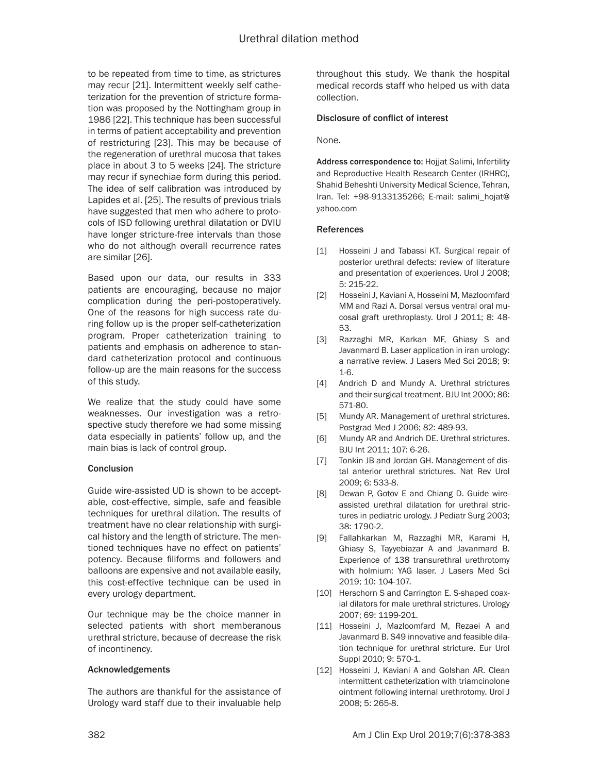to be repeated from time to time, as strictures may recur [21]. Intermittent weekly self catheterization for the prevention of stricture formation was proposed by the Nottingham group in 1986 [22]. This technique has been successful in terms of patient acceptability and prevention of restricturing [23]. This may be because of the regeneration of urethral mucosa that takes place in about 3 to 5 weeks [24]. The stricture may recur if synechiae form during this period. The idea of self calibration was introduced by Lapides et al. [25]. The results of previous trials have suggested that men who adhere to protocols of ISD following urethral dilatation or DVIU have longer stricture-free intervals than those who do not although overall recurrence rates are similar [26].

Based upon our data, our results in 333 patients are encouraging, because no major complication during the peri-postoperatively. One of the reasons for high success rate during follow up is the proper self-catheterization program. Proper catheterization training to patients and emphasis on adherence to standard catheterization protocol and continuous follow-up are the main reasons for the success of this study.

We realize that the study could have some weaknesses. Our investigation was a retrospective study therefore we had some missing data especially in patients' follow up, and the main bias is lack of control group.

## **Conclusion**

Guide wire-assisted UD is shown to be acceptable, cost-effective, simple, safe and feasible techniques for urethral dilation. The results of treatment have no clear relationship with surgical history and the length of stricture. The mentioned techniques have no effect on patients' potency. Because filiforms and followers and balloons are expensive and not available easily, this cost-effective technique can be used in every urology department.

Our technique may be the choice manner in selected patients with short memberanous urethral stricture, because of decrease the risk of incontinency.

## Acknowledgements

The authors are thankful for the assistance of Urology ward staff due to their invaluable help throughout this study. We thank the hospital medical records staff who helped us with data collection.

## Disclosure of conflict of interest

None.

Address correspondence to: Hojjat Salimi, Infertility and Reproductive Health Research Center (IRHRC), Shahid Beheshti University Medical Science, Tehran, Iran. Tel: +98-9133135266; E-mail: [salimi\\_hojat@](mailto:salimi_hojat@yahoo.com) [yahoo.com](mailto:salimi_hojat@yahoo.com)

## References

- [1] Hosseini J and Tabassi KT. Surgical repair of posterior urethral defects: review of literature and presentation of experiences. Urol J 2008; 5: 215-22.
- [2] Hosseini J, Kaviani A, Hosseini M, Mazloomfard MM and Razi A. Dorsal versus ventral oral mucosal graft urethroplasty. Urol J 2011; 8: 48- 53.
- [3] Razzaghi MR, Karkan MF, Ghiasy S and Javanmard B. Laser application in iran urology: a narrative review. J Lasers Med Sci 2018; 9: 1-6.
- [4] Andrich D and Mundy A. Urethral strictures and their surgical treatment. BJU Int 2000; 86: 571-80.
- [5] Mundy AR. Management of urethral strictures. Postgrad Med J 2006; 82: 489-93.
- [6] Mundy AR and Andrich DE. Urethral strictures. BJU Int 2011; 107: 6-26.
- [7] Tonkin JB and Jordan GH. Management of distal anterior urethral strictures. Nat Rev Urol 2009; 6: 533-8.
- [8] Dewan P, Gotov E and Chiang D. Guide wireassisted urethral dilatation for urethral strictures in pediatric urology. J Pediatr Surg 2003; 38: 1790-2.
- [9] Fallahkarkan M, Razzaghi MR, Karami H, Ghiasy S, Tayyebiazar A and Javanmard B. Experience of 138 transurethral urethrotomy with holmium: YAG laser. J Lasers Med Sci 2019; 10: 104-107.
- [10] Herschorn S and Carrington E. S-shaped coaxial dilators for male urethral strictures. Urology 2007; 69: 1199-201.
- [11] Hosseini J, Mazloomfard M, Rezaei A and Javanmard B. S49 innovative and feasible dilation technique for urethral stricture. Eur Urol Suppl 2010; 9: 570-1.
- [12] Hosseini J, Kaviani A and Golshan AR. Clean intermittent catheterization with triamcinolone ointment following internal urethrotomy. Urol J 2008; 5: 265-8.